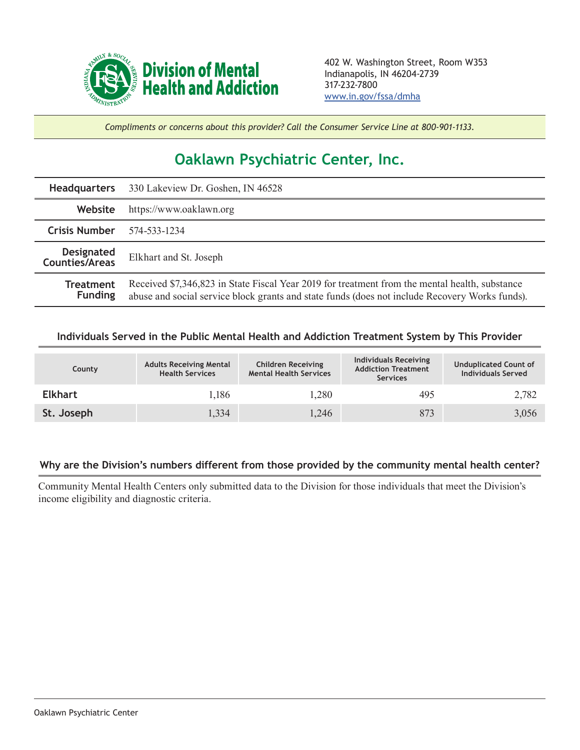

*Compliments or concerns about this provider? Call the Consumer Service Line at 800-901-1133.*

## **Oaklawn Psychiatric Center, Inc.**

|                                     | Headquarters 330 Lakeview Dr. Goshen, IN 46528                                                                                                                                                   |  |  |  |
|-------------------------------------|--------------------------------------------------------------------------------------------------------------------------------------------------------------------------------------------------|--|--|--|
| Website                             | https://www.oaklawn.org                                                                                                                                                                          |  |  |  |
| <b>Crisis Number</b>                | 574-533-1234                                                                                                                                                                                     |  |  |  |
| <b>Designated</b><br>Counties/Areas | Elkhart and St. Joseph                                                                                                                                                                           |  |  |  |
| <b>Treatment</b><br><b>Funding</b>  | Received \$7,346,823 in State Fiscal Year 2019 for treatment from the mental health, substance<br>abuse and social service block grants and state funds (does not include Recovery Works funds). |  |  |  |

## **Individuals Served in the Public Mental Health and Addiction Treatment System by This Provider**

| County         | <b>Adults Receiving Mental</b><br><b>Health Services</b> | <b>Children Receiving</b><br><b>Mental Health Services</b> | Individuals Receiving<br><b>Addiction Treatment</b><br><b>Services</b> | <b>Unduplicated Count of</b><br><b>Individuals Served</b> |
|----------------|----------------------------------------------------------|------------------------------------------------------------|------------------------------------------------------------------------|-----------------------------------------------------------|
| <b>Elkhart</b> | 1,186                                                    | 1,280                                                      | 495                                                                    | 2,782                                                     |
| St. Joseph     | 1,334                                                    | 1,246                                                      | 873                                                                    | 3,056                                                     |

## **Why are the Division's numbers different from those provided by the community mental health center?**

Community Mental Health Centers only submitted data to the Division for those individuals that meet the Division's income eligibility and diagnostic criteria.